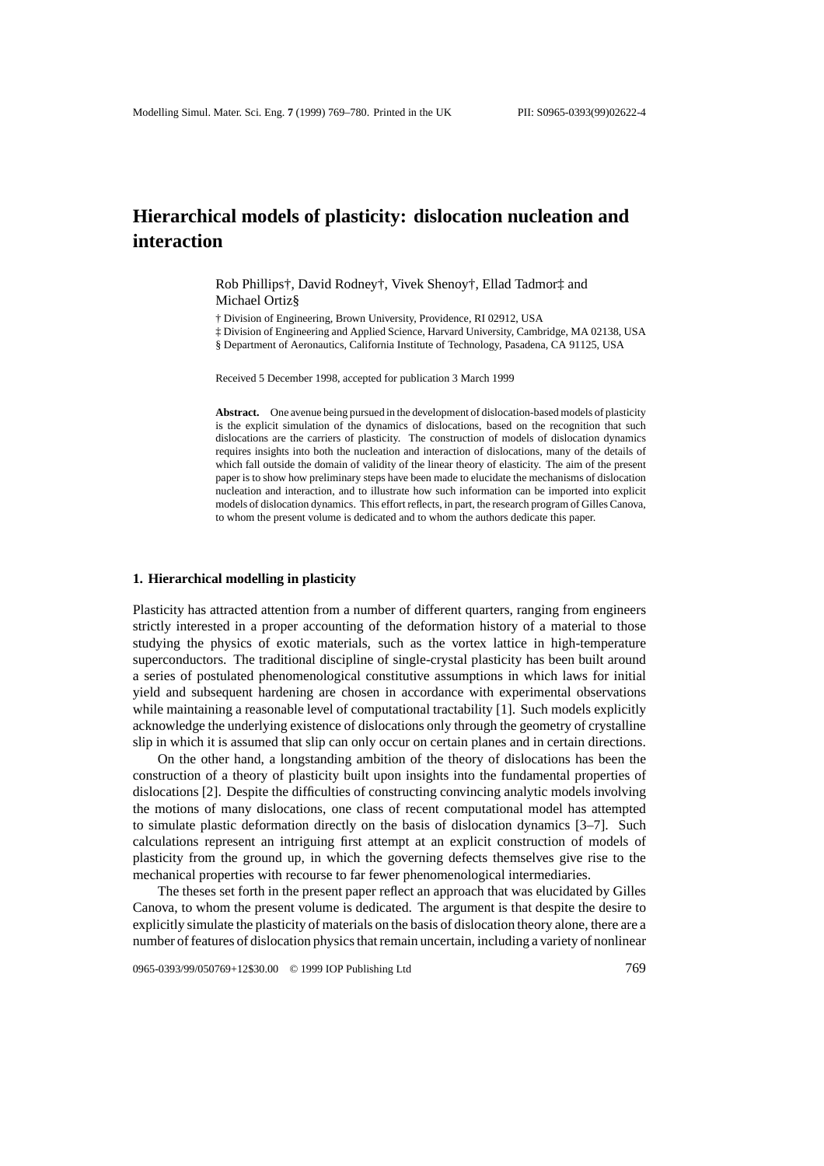# **Hierarchical models of plasticity: dislocation nucleation and interaction**

Rob Phillips†, David Rodney†, Vivek Shenoy†, Ellad Tadmor‡ and Michael Ortiz§

† Division of Engineering, Brown University, Providence, RI 02912, USA

‡ Division of Engineering and Applied Science, Harvard University, Cambridge, MA 02138, USA

§ Department of Aeronautics, California Institute of Technology, Pasadena, CA 91125, USA

Received 5 December 1998, accepted for publication 3 March 1999

**Abstract.** One avenue being pursued in the development of dislocation-based models of plasticity is the explicit simulation of the dynamics of dislocations, based on the recognition that such dislocations are the carriers of plasticity. The construction of models of dislocation dynamics requires insights into both the nucleation and interaction of dislocations, many of the details of which fall outside the domain of validity of the linear theory of elasticity. The aim of the present paper is to show how preliminary steps have been made to elucidate the mechanisms of dislocation nucleation and interaction, and to illustrate how such information can be imported into explicit models of dislocation dynamics. This effort reflects, in part, the research program of Gilles Canova, to whom the present volume is dedicated and to whom the authors dedicate this paper.

## **1. Hierarchical modelling in plasticity**

Plasticity has attracted attention from a number of different quarters, ranging from engineers strictly interested in a proper accounting of the deformation history of a material to those studying the physics of exotic materials, such as the vortex lattice in high-temperature superconductors. The traditional discipline of single-crystal plasticity has been built around a series of postulated phenomenological constitutive assumptions in which laws for initial yield and subsequent hardening are chosen in accordance with experimental observations while maintaining a reasonable level of computational tractability [1]. Such models explicitly acknowledge the underlying existence of dislocations only through the geometry of crystalline slip in which it is assumed that slip can only occur on certain planes and in certain directions.

On the other hand, a longstanding ambition of the theory of dislocations has been the construction of a theory of plasticity built upon insights into the fundamental properties of dislocations [2]. Despite the difficulties of constructing convincing analytic models involving the motions of many dislocations, one class of recent computational model has attempted to simulate plastic deformation directly on the basis of dislocation dynamics [3–7]. Such calculations represent an intriguing first attempt at an explicit construction of models of plasticity from the ground up, in which the governing defects themselves give rise to the mechanical properties with recourse to far fewer phenomenological intermediaries.

The theses set forth in the present paper reflect an approach that was elucidated by Gilles Canova, to whom the present volume is dedicated. The argument is that despite the desire to explicitly simulate the plasticity of materials on the basis of dislocation theory alone, there are a number of features of dislocation physics that remain uncertain, including a variety of nonlinear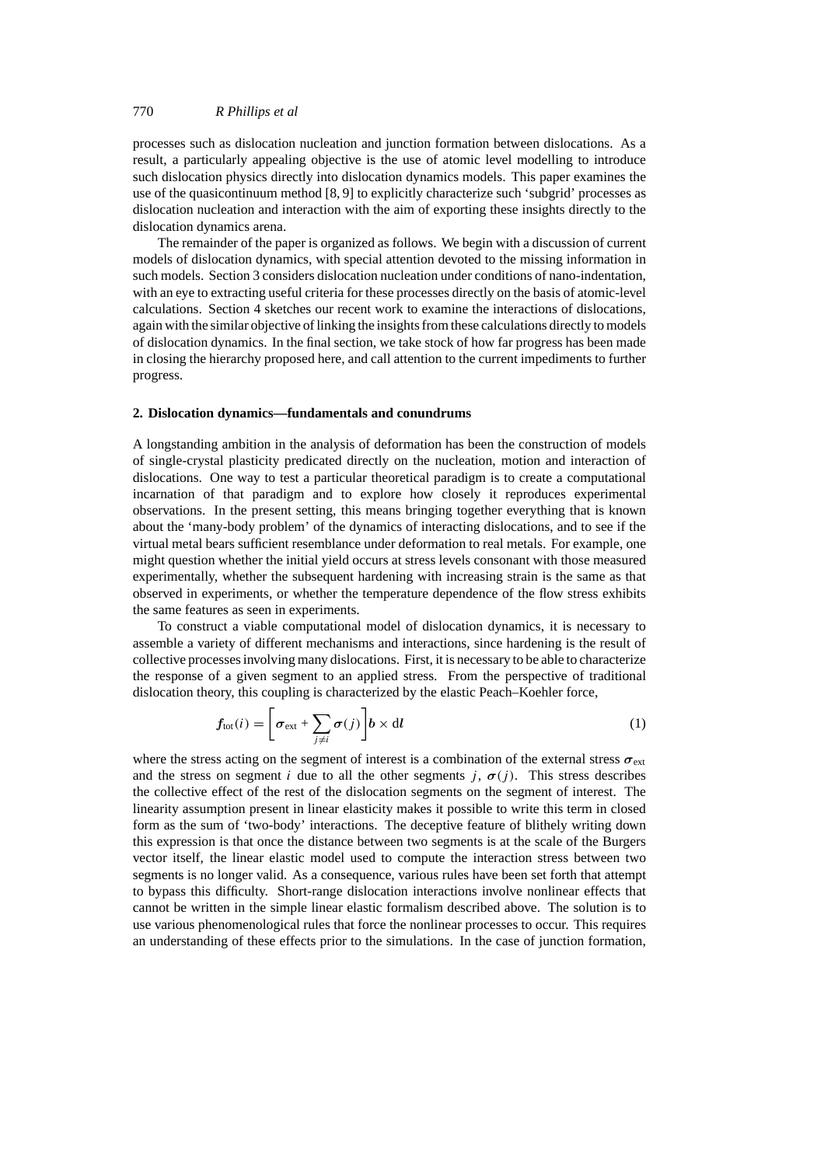processes such as dislocation nucleation and junction formation between dislocations. As a result, a particularly appealing objective is the use of atomic level modelling to introduce such dislocation physics directly into dislocation dynamics models. This paper examines the use of the quasicontinuum method [8, 9] to explicitly characterize such 'subgrid' processes as dislocation nucleation and interaction with the aim of exporting these insights directly to the dislocation dynamics arena.

The remainder of the paper is organized as follows. We begin with a discussion of current models of dislocation dynamics, with special attention devoted to the missing information in such models. Section 3 considers dislocation nucleation under conditions of nano-indentation, with an eye to extracting useful criteria for these processes directly on the basis of atomic-level calculations. Section 4 sketches our recent work to examine the interactions of dislocations, again with the similar objective of linking the insights from these calculations directly to models of dislocation dynamics. In the final section, we take stock of how far progress has been made in closing the hierarchy proposed here, and call attention to the current impediments to further progress.

# **2. Dislocation dynamics—fundamentals and conundrums**

A longstanding ambition in the analysis of deformation has been the construction of models of single-crystal plasticity predicated directly on the nucleation, motion and interaction of dislocations. One way to test a particular theoretical paradigm is to create a computational incarnation of that paradigm and to explore how closely it reproduces experimental observations. In the present setting, this means bringing together everything that is known about the 'many-body problem' of the dynamics of interacting dislocations, and to see if the virtual metal bears sufficient resemblance under deformation to real metals. For example, one might question whether the initial yield occurs at stress levels consonant with those measured experimentally, whether the subsequent hardening with increasing strain is the same as that observed in experiments, or whether the temperature dependence of the flow stress exhibits the same features as seen in experiments.

To construct a viable computational model of dislocation dynamics, it is necessary to assemble a variety of different mechanisms and interactions, since hardening is the result of collective processes involving many dislocations. First, it is necessary to be able to characterize the response of a given segment to an applied stress. From the perspective of traditional dislocation theory, this coupling is characterized by the elastic Peach–Koehler force,

$$
f_{\text{tot}}(i) = \left[\sigma_{\text{ext}} + \sum_{j \neq i} \sigma(j)\right] b \times \text{d}l \tag{1}
$$

where the stress acting on the segment of interest is a combination of the external stress  $\sigma_{\text{ext}}$ and the stress on segment *i* due to all the other segments *j*,  $\sigma(j)$ . This stress describes the collective effect of the rest of the dislocation segments on the segment of interest. The linearity assumption present in linear elasticity makes it possible to write this term in closed form as the sum of 'two-body' interactions. The deceptive feature of blithely writing down this expression is that once the distance between two segments is at the scale of the Burgers vector itself, the linear elastic model used to compute the interaction stress between two segments is no longer valid. As a consequence, various rules have been set forth that attempt to bypass this difficulty. Short-range dislocation interactions involve nonlinear effects that cannot be written in the simple linear elastic formalism described above. The solution is to use various phenomenological rules that force the nonlinear processes to occur. This requires an understanding of these effects prior to the simulations. In the case of junction formation,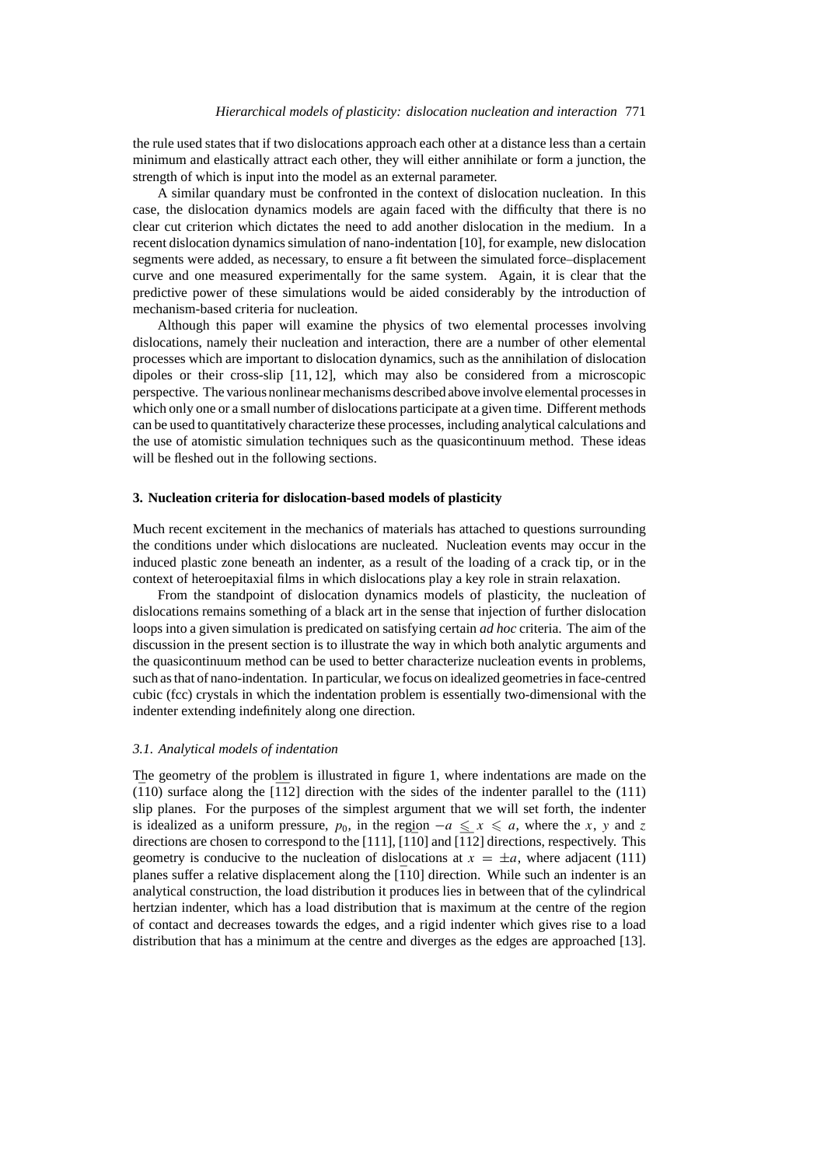## *Hierarchical models of plasticity: dislocation nucleation and interaction* 771

the rule used states that if two dislocations approach each other at a distance less than a certain minimum and elastically attract each other, they will either annihilate or form a junction, the strength of which is input into the model as an external parameter.

A similar quandary must be confronted in the context of dislocation nucleation. In this case, the dislocation dynamics models are again faced with the difficulty that there is no clear cut criterion which dictates the need to add another dislocation in the medium. In a recent dislocation dynamics simulation of nano-indentation [10], for example, new dislocation segments were added, as necessary, to ensure a fit between the simulated force–displacement curve and one measured experimentally for the same system. Again, it is clear that the predictive power of these simulations would be aided considerably by the introduction of mechanism-based criteria for nucleation.

Although this paper will examine the physics of two elemental processes involving dislocations, namely their nucleation and interaction, there are a number of other elemental processes which are important to dislocation dynamics, such as the annihilation of dislocation dipoles or their cross-slip [11, 12], which may also be considered from a microscopic perspective. The various nonlinear mechanisms described above involve elemental processes in which only one or a small number of dislocations participate at a given time. Different methods can be used to quantitatively characterize these processes, including analytical calculations and the use of atomistic simulation techniques such as the quasicontinuum method. These ideas will be fleshed out in the following sections.

### **3. Nucleation criteria for dislocation-based models of plasticity**

Much recent excitement in the mechanics of materials has attached to questions surrounding the conditions under which dislocations are nucleated. Nucleation events may occur in the induced plastic zone beneath an indenter, as a result of the loading of a crack tip, or in the context of heteroepitaxial films in which dislocations play a key role in strain relaxation.

From the standpoint of dislocation dynamics models of plasticity, the nucleation of dislocations remains something of a black art in the sense that injection of further dislocation loops into a given simulation is predicated on satisfying certain *ad hoc* criteria. The aim of the discussion in the present section is to illustrate the way in which both analytic arguments and the quasicontinuum method can be used to better characterize nucleation events in problems, such as that of nano-indentation. In particular, we focus on idealized geometries in face-centred cubic (fcc) crystals in which the indentation problem is essentially two-dimensional with the indenter extending indefinitely along one direction.

#### *3.1. Analytical models of indentation*

The geometry of the problem is illustrated in figure 1, where indentations are made on the  $(110)$  surface along the  $[112]$  direction with the sides of the indenter parallel to the  $(111)$ slip planes. For the purposes of the simplest argument that we will set forth, the indenter is idealized as a uniform pressure,  $p_0$ , in the region  $-a \le x \le a$ , where the *x*, *y* and *z* directions are chosen to correspond to the [111], [1 $\overline{1}0$ ] and [ $\overline{1}12$ ] directions, respectively. This geometry is conducive to the nucleation of dislocations at  $x = \pm a$ , where adjacent (111) planes suffer a relative displacement along the  $[110]$  direction. While such an indenter is an analytical construction, the load distribution it produces lies in between that of the cylindrical hertzian indenter, which has a load distribution that is maximum at the centre of the region of contact and decreases towards the edges, and a rigid indenter which gives rise to a load distribution that has a minimum at the centre and diverges as the edges are approached [13].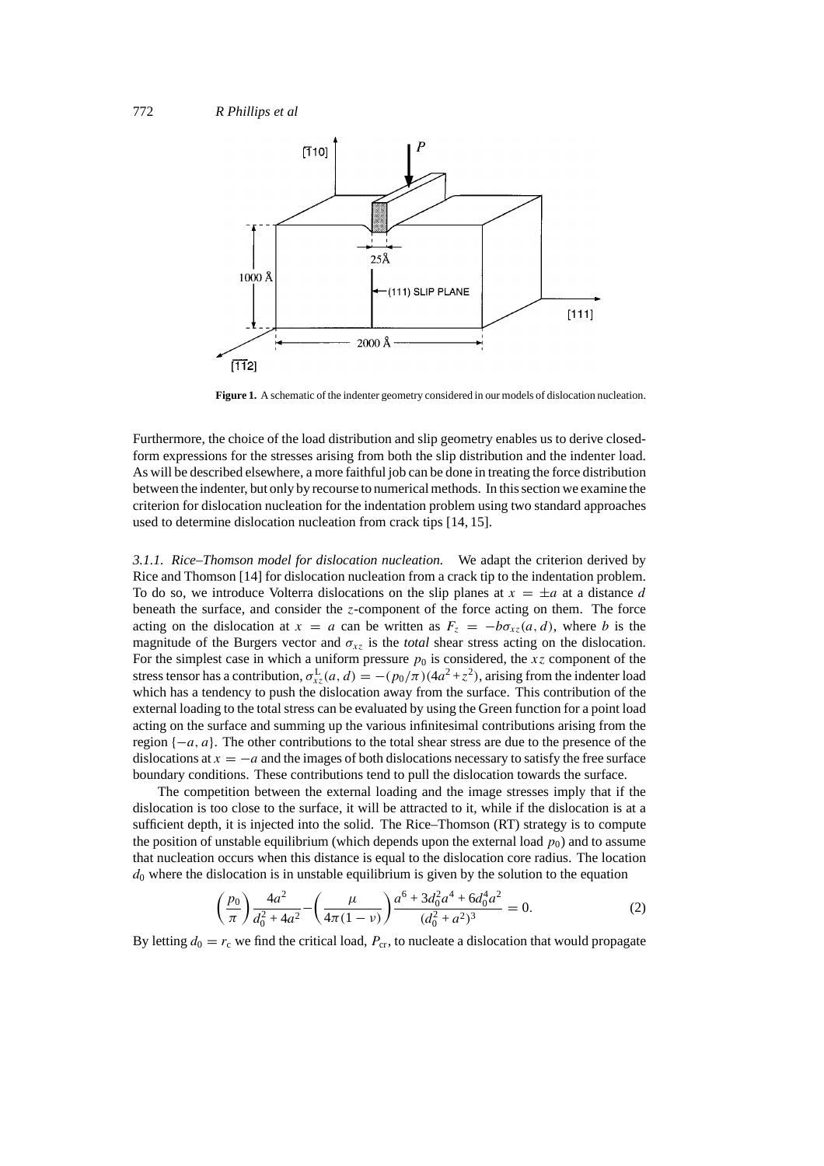

**Figure 1.** A schematic of the indenter geometry considered in our models of dislocation nucleation.

Furthermore, the choice of the load distribution and slip geometry enables us to derive closedform expressions for the stresses arising from both the slip distribution and the indenter load. As will be described elsewhere, a more faithful job can be done in treating the force distribution between the indenter, but only by recourse to numerical methods. In this section we examine the criterion for dislocation nucleation for the indentation problem using two standard approaches used to determine dislocation nucleation from crack tips [14, 15].

*3.1.1. Rice–Thomson model for dislocation nucleation.* We adapt the criterion derived by Rice and Thomson [14] for dislocation nucleation from a crack tip to the indentation problem. To do so, we introduce Volterra dislocations on the slip planes at  $x = \pm a$  at a distance *d* beneath the surface, and consider the *z*-component of the force acting on them. The force acting on the dislocation at  $x = a$  can be written as  $F_z = -b\sigma_{xz}(a, d)$ , where *b* is the magnitude of the Burgers vector and  $\sigma_{xz}$  is the *total* shear stress acting on the dislocation. For the simplest case in which a uniform pressure  $p_0$  is considered, the  $xz$  component of the stress tensor has a contribution,  $\sigma_{xz}^L(a, d) = -(p_0/\pi)(4a^2 + z^2)$ , arising from the indenter load which has a tendency to push the dislocation away from the surface. This contribution of the external loading to the total stress can be evaluated by using the Green function for a point load acting on the surface and summing up the various infinitesimal contributions arising from the region {−*a, a*}. The other contributions to the total shear stress are due to the presence of the dislocations at  $x = -a$  and the images of both dislocations necessary to satisfy the free surface boundary conditions. These contributions tend to pull the dislocation towards the surface.

The competition between the external loading and the image stresses imply that if the dislocation is too close to the surface, it will be attracted to it, while if the dislocation is at a sufficient depth, it is injected into the solid. The Rice–Thomson (RT) strategy is to compute the position of unstable equilibrium (which depends upon the external load  $p_0$ ) and to assume that nucleation occurs when this distance is equal to the dislocation core radius. The location  $d_0$  where the dislocation is in unstable equilibrium is given by the solution to the equation

$$
\left(\frac{p_0}{\pi}\right) \frac{4a^2}{d_0^2 + 4a^2} - \left(\frac{\mu}{4\pi(1-\nu)}\right) \frac{a^6 + 3d_0^2 a^4 + 6d_0^4 a^2}{(d_0^2 + a^2)^3} = 0.
$$
 (2)

By letting  $d_0 = r_c$  we find the critical load,  $P_{cr}$ , to nucleate a dislocation that would propagate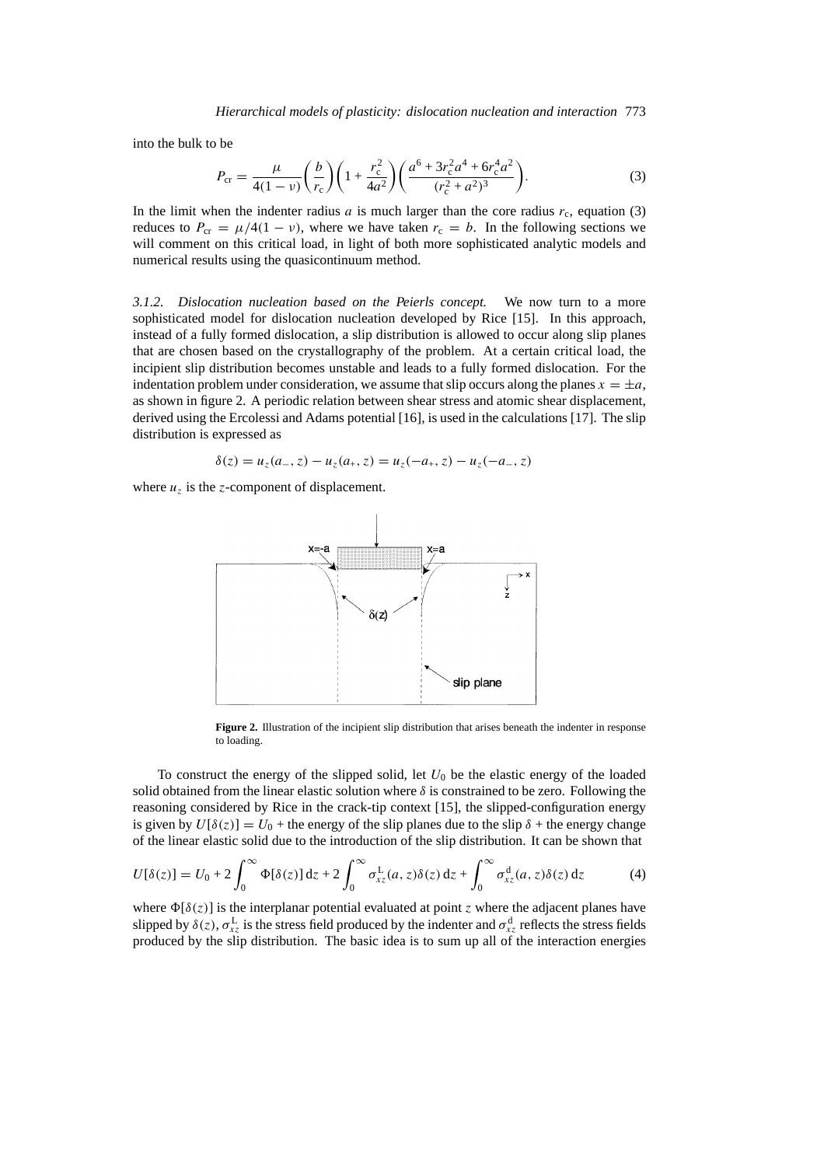into the bulk to be

$$
P_{\rm cr} = \frac{\mu}{4(1-\nu)} \left(\frac{b}{r_{\rm c}}\right) \left(1 + \frac{r_{\rm c}^2}{4a^2}\right) \left(\frac{a^6 + 3r_{\rm c}^2 a^4 + 6r_{\rm c}^4 a^2}{(r_{\rm c}^2 + a^2)^3}\right). \tag{3}
$$

In the limit when the indenter radius  $a$  is much larger than the core radius  $r_c$ , equation (3) reduces to  $P_{cr} = \mu/4(1 - v)$ , where we have taken  $r_c = b$ . In the following sections we will comment on this critical load, in light of both more sophisticated analytic models and numerical results using the quasicontinuum method.

*3.1.2. Dislocation nucleation based on the Peierls concept.* We now turn to a more sophisticated model for dislocation nucleation developed by Rice [15]. In this approach, instead of a fully formed dislocation, a slip distribution is allowed to occur along slip planes that are chosen based on the crystallography of the problem. At a certain critical load, the incipient slip distribution becomes unstable and leads to a fully formed dislocation. For the indentation problem under consideration, we assume that slip occurs along the planes  $x = \pm a$ , as shown in figure 2. A periodic relation between shear stress and atomic shear displacement, derived using the Ercolessi and Adams potential [16], is used in the calculations [17]. The slip distribution is expressed as

$$
\delta(z) = u_z(a_-, z) - u_z(a_+, z) = u_z(-a_+, z) - u_z(-a_-, z)
$$

where  $u_z$  is the *z*-component of displacement.



**Figure 2.** Illustration of the incipient slip distribution that arises beneath the indenter in response to loading.

To construct the energy of the slipped solid, let  $U_0$  be the elastic energy of the loaded solid obtained from the linear elastic solution where  $\delta$  is constrained to be zero. Following the reasoning considered by Rice in the crack-tip context [15], the slipped-configuration energy is given by  $U[\delta(z)] = U_0$  + the energy of the slip planes due to the slip  $\delta$  + the energy change of the linear elastic solid due to the introduction of the slip distribution. It can be shown that

$$
U[\delta(z)] = U_0 + 2\int_0^\infty \Phi[\delta(z)] dz + 2\int_0^\infty \sigma_{xz}^L(a, z)\delta(z) dz + \int_0^\infty \sigma_{xz}^d(a, z)\delta(z) dz \tag{4}
$$

where  $\Phi[\delta(z)]$  is the interplanar potential evaluated at point *z* where the adjacent planes have slipped by  $\delta(z)$ ,  $\sigma_{xz}^L$  is the stress field produced by the indenter and  $\sigma_{xz}^d$  reflects the stress fields produced by the slip distribution. The basic idea is to sum up all of the interaction energies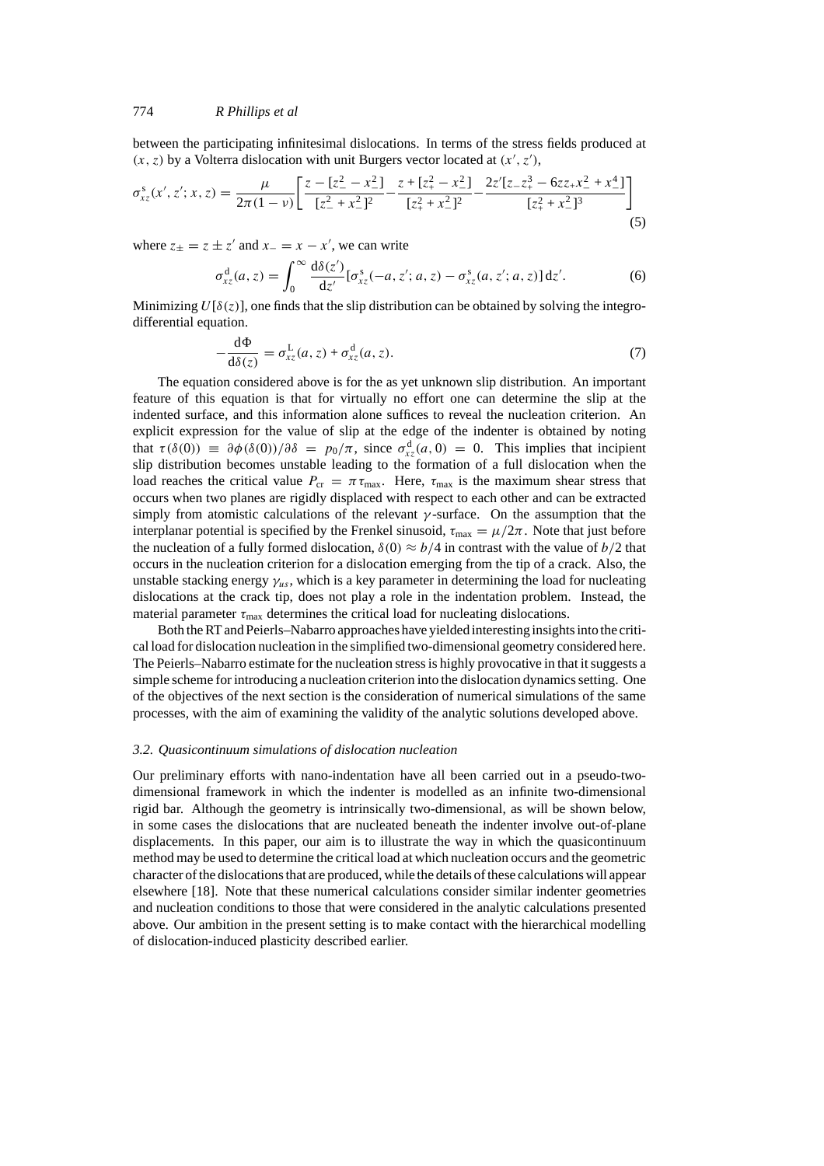## 774 *R Phillips et al*

between the participating infinitesimal dislocations. In terms of the stress fields produced at  $(x, z)$  by a Volterra dislocation with unit Burgers vector located at  $(x', z')$ ,

$$
\sigma_{xz}^s(x', z'; x, z) = \frac{\mu}{2\pi(1 - \nu)} \left[ \frac{z - [z_-^2 - x_-^2]}{[z_-^2 + x_-^2]^2} - \frac{z + [z_+^2 - x_-^2]}{[z_+^2 + x_-^2]^2} - \frac{2z'[z_- z_+^3 - 6zz_+ x_-^2 + x_-^4]}{[z_+^2 + x_-^2]^3} \right] \tag{5}
$$

where  $z_{\pm} = z \pm z'$  and  $x_{-} = x - x'$ , we can write

$$
\sigma_{xz}^d(a, z) = \int_0^\infty \frac{d\delta(z')}{dz'} [\sigma_{xz}^s(-a, z'; a, z) - \sigma_{xz}^s(a, z'; a, z)] dz'.
$$
 (6)

Minimizing  $U[\delta(z)]$ , one finds that the slip distribution can be obtained by solving the integrodifferential equation.

$$
-\frac{\mathrm{d}\Phi}{\mathrm{d}\delta(z)} = \sigma_{xz}^{\mathrm{L}}(a,z) + \sigma_{xz}^{\mathrm{d}}(a,z). \tag{7}
$$

The equation considered above is for the as yet unknown slip distribution. An important feature of this equation is that for virtually no effort one can determine the slip at the indented surface, and this information alone suffices to reveal the nucleation criterion. An explicit expression for the value of slip at the edge of the indenter is obtained by noting that  $\tau(\delta(0)) \equiv \partial \phi(\delta(0))/\partial \delta = p_0/\pi$ , since  $\sigma_{xz}^d(a, 0) = 0$ . This implies that incipient slip distribution becomes unstable leading to the formation of a full dislocation when the load reaches the critical value  $P_{cr} = \pi \tau_{max}$ . Here,  $\tau_{max}$  is the maximum shear stress that occurs when two planes are rigidly displaced with respect to each other and can be extracted simply from atomistic calculations of the relevant *γ* -surface. On the assumption that the interplanar potential is specified by the Frenkel sinusoid,  $\tau_{\text{max}} = \mu/2\pi$ . Note that just before the nucleation of a fully formed dislocation,  $\delta(0) \approx b/4$  in contrast with the value of  $b/2$  that occurs in the nucleation criterion for a dislocation emerging from the tip of a crack. Also, the unstable stacking energy  $\gamma_{us}$ , which is a key parameter in determining the load for nucleating dislocations at the crack tip, does not play a role in the indentation problem. Instead, the material parameter  $\tau_{\text{max}}$  determines the critical load for nucleating dislocations.

Both the RT and Peierls–Nabarro approaches have yielded interesting insights into the critical load for dislocation nucleation in the simplified two-dimensional geometry considered here. The Peierls–Nabarro estimate for the nucleation stress is highly provocative in that it suggests a simple scheme for introducing a nucleation criterion into the dislocation dynamics setting. One of the objectives of the next section is the consideration of numerical simulations of the same processes, with the aim of examining the validity of the analytic solutions developed above.

#### *3.2. Quasicontinuum simulations of dislocation nucleation*

Our preliminary efforts with nano-indentation have all been carried out in a pseudo-twodimensional framework in which the indenter is modelled as an infinite two-dimensional rigid bar. Although the geometry is intrinsically two-dimensional, as will be shown below, in some cases the dislocations that are nucleated beneath the indenter involve out-of-plane displacements. In this paper, our aim is to illustrate the way in which the quasicontinuum method may be used to determine the critical load at which nucleation occurs and the geometric character of the dislocations that are produced, while the details of these calculations will appear elsewhere [18]. Note that these numerical calculations consider similar indenter geometries and nucleation conditions to those that were considered in the analytic calculations presented above. Our ambition in the present setting is to make contact with the hierarchical modelling of dislocation-induced plasticity described earlier.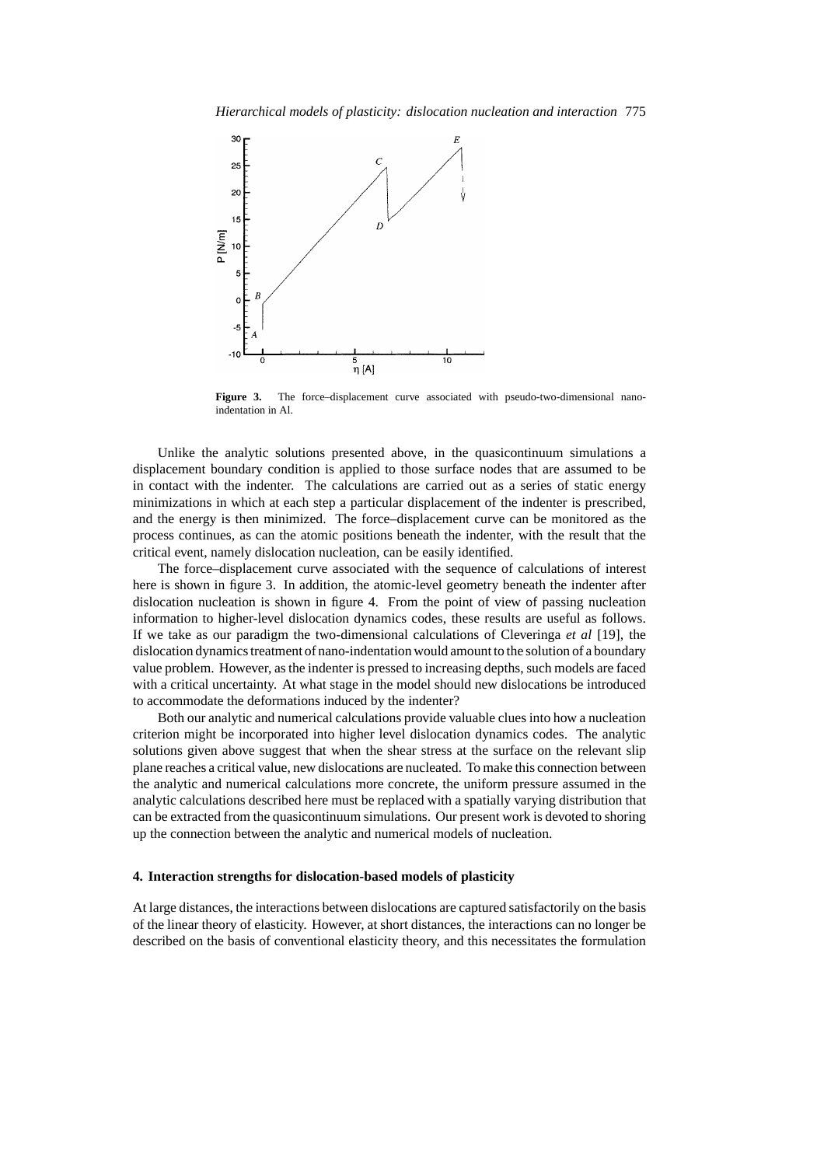

Figure 3. The force-displacement curve associated with pseudo-two-dimensional nanoindentation in Al.

Unlike the analytic solutions presented above, in the quasicontinuum simulations a displacement boundary condition is applied to those surface nodes that are assumed to be in contact with the indenter. The calculations are carried out as a series of static energy minimizations in which at each step a particular displacement of the indenter is prescribed, and the energy is then minimized. The force–displacement curve can be monitored as the process continues, as can the atomic positions beneath the indenter, with the result that the critical event, namely dislocation nucleation, can be easily identified.

The force–displacement curve associated with the sequence of calculations of interest here is shown in figure 3. In addition, the atomic-level geometry beneath the indenter after dislocation nucleation is shown in figure 4. From the point of view of passing nucleation information to higher-level dislocation dynamics codes, these results are useful as follows. If we take as our paradigm the two-dimensional calculations of Cleveringa *et al* [19], the dislocation dynamics treatment of nano-indentation would amount to the solution of a boundary value problem. However, as the indenter is pressed to increasing depths, such models are faced with a critical uncertainty. At what stage in the model should new dislocations be introduced to accommodate the deformations induced by the indenter?

Both our analytic and numerical calculations provide valuable clues into how a nucleation criterion might be incorporated into higher level dislocation dynamics codes. The analytic solutions given above suggest that when the shear stress at the surface on the relevant slip plane reaches a critical value, new dislocations are nucleated. To make this connection between the analytic and numerical calculations more concrete, the uniform pressure assumed in the analytic calculations described here must be replaced with a spatially varying distribution that can be extracted from the quasicontinuum simulations. Our present work is devoted to shoring up the connection between the analytic and numerical models of nucleation.

## **4. Interaction strengths for dislocation-based models of plasticity**

At large distances, the interactions between dislocations are captured satisfactorily on the basis of the linear theory of elasticity. However, at short distances, the interactions can no longer be described on the basis of conventional elasticity theory, and this necessitates the formulation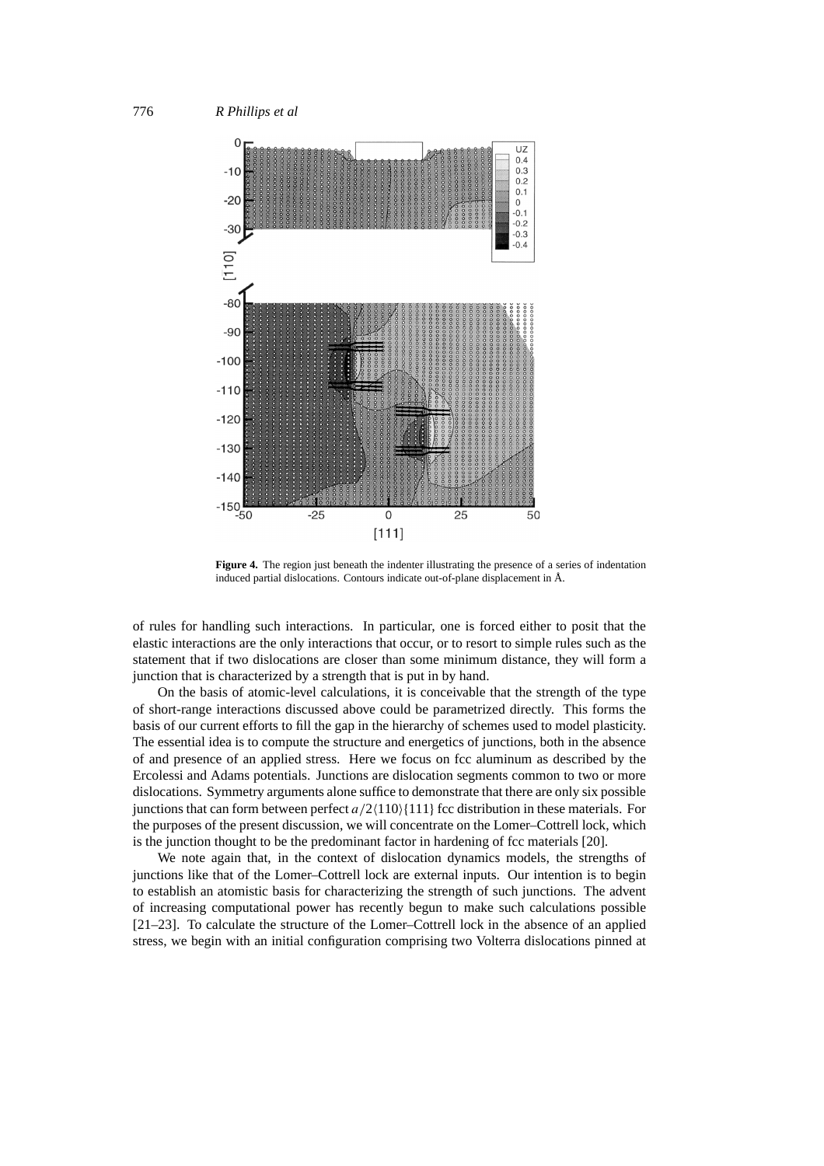

**Figure 4.** The region just beneath the indenter illustrating the presence of a series of indentation induced partial dislocations. Contours indicate out-of-plane displacement in Å.

of rules for handling such interactions. In particular, one is forced either to posit that the elastic interactions are the only interactions that occur, or to resort to simple rules such as the statement that if two dislocations are closer than some minimum distance, they will form a junction that is characterized by a strength that is put in by hand.

On the basis of atomic-level calculations, it is conceivable that the strength of the type of short-range interactions discussed above could be parametrized directly. This forms the basis of our current efforts to fill the gap in the hierarchy of schemes used to model plasticity. The essential idea is to compute the structure and energetics of junctions, both in the absence of and presence of an applied stress. Here we focus on fcc aluminum as described by the Ercolessi and Adams potentials. Junctions are dislocation segments common to two or more dislocations. Symmetry arguments alone suffice to demonstrate that there are only six possible junctions that can form between perfect  $a/2\langle 110 \rangle$  {111} fcc distribution in these materials. For the purposes of the present discussion, we will concentrate on the Lomer–Cottrell lock, which is the junction thought to be the predominant factor in hardening of fcc materials [20].

We note again that, in the context of dislocation dynamics models, the strengths of junctions like that of the Lomer–Cottrell lock are external inputs. Our intention is to begin to establish an atomistic basis for characterizing the strength of such junctions. The advent of increasing computational power has recently begun to make such calculations possible [21–23]. To calculate the structure of the Lomer–Cottrell lock in the absence of an applied stress, we begin with an initial configuration comprising two Volterra dislocations pinned at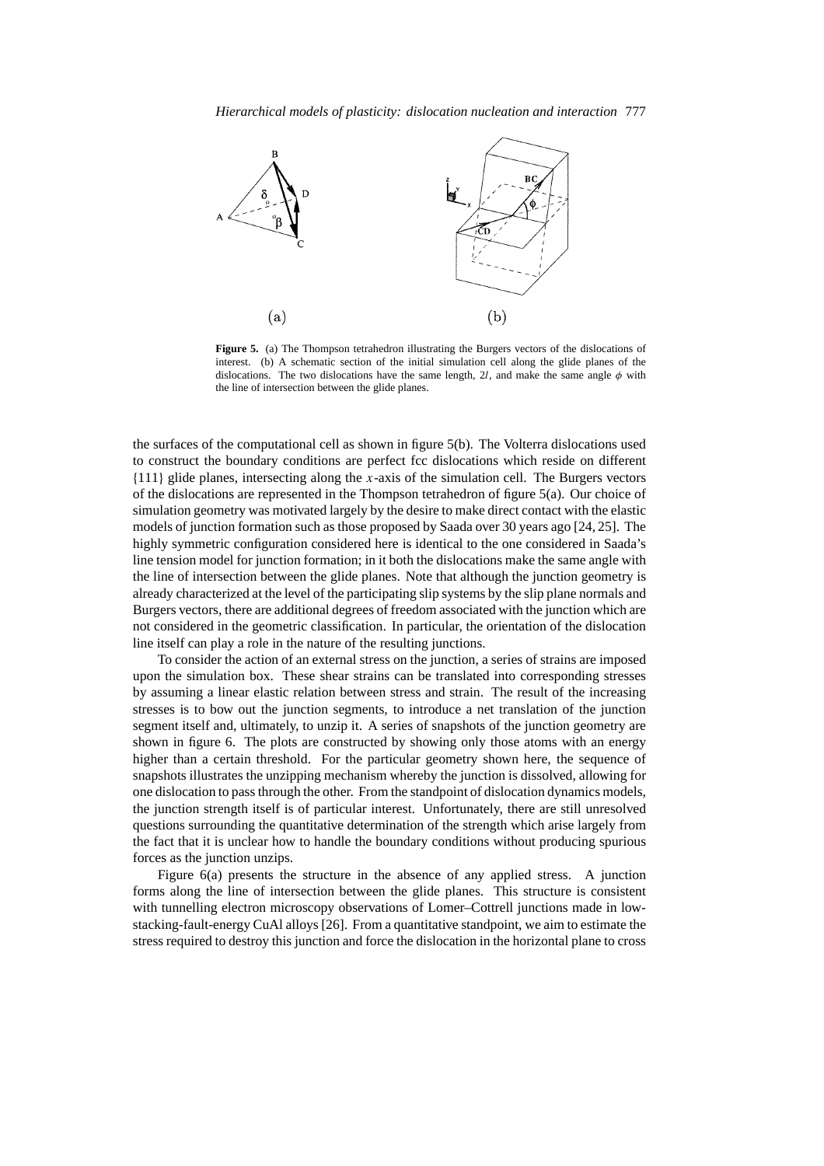

**Figure 5.** (a) The Thompson tetrahedron illustrating the Burgers vectors of the dislocations of interest. (b) A schematic section of the initial simulation cell along the glide planes of the dislocations. The two dislocations have the same length, 2*l*, and make the same angle  $\phi$  with the line of intersection between the glide planes.

the surfaces of the computational cell as shown in figure 5(b). The Volterra dislocations used to construct the boundary conditions are perfect fcc dislocations which reside on different {111} glide planes, intersecting along the *x*-axis of the simulation cell. The Burgers vectors of the dislocations are represented in the Thompson tetrahedron of figure  $5(a)$ . Our choice of simulation geometry was motivated largely by the desire to make direct contact with the elastic models of junction formation such as those proposed by Saada over 30 years ago [24, 25]. The highly symmetric configuration considered here is identical to the one considered in Saada's line tension model for junction formation; in it both the dislocations make the same angle with the line of intersection between the glide planes. Note that although the junction geometry is already characterized at the level of the participating slip systems by the slip plane normals and Burgers vectors, there are additional degrees of freedom associated with the junction which are not considered in the geometric classification. In particular, the orientation of the dislocation line itself can play a role in the nature of the resulting junctions.

To consider the action of an external stress on the junction, a series of strains are imposed upon the simulation box. These shear strains can be translated into corresponding stresses by assuming a linear elastic relation between stress and strain. The result of the increasing stresses is to bow out the junction segments, to introduce a net translation of the junction segment itself and, ultimately, to unzip it. A series of snapshots of the junction geometry are shown in figure 6. The plots are constructed by showing only those atoms with an energy higher than a certain threshold. For the particular geometry shown here, the sequence of snapshots illustrates the unzipping mechanism whereby the junction is dissolved, allowing for one dislocation to pass through the other. From the standpoint of dislocation dynamics models, the junction strength itself is of particular interest. Unfortunately, there are still unresolved questions surrounding the quantitative determination of the strength which arise largely from the fact that it is unclear how to handle the boundary conditions without producing spurious forces as the junction unzips.

Figure 6(a) presents the structure in the absence of any applied stress. A junction forms along the line of intersection between the glide planes. This structure is consistent with tunnelling electron microscopy observations of Lomer–Cottrell junctions made in lowstacking-fault-energy CuAl alloys [26]. From a quantitative standpoint, we aim to estimate the stress required to destroy this junction and force the dislocation in the horizontal plane to cross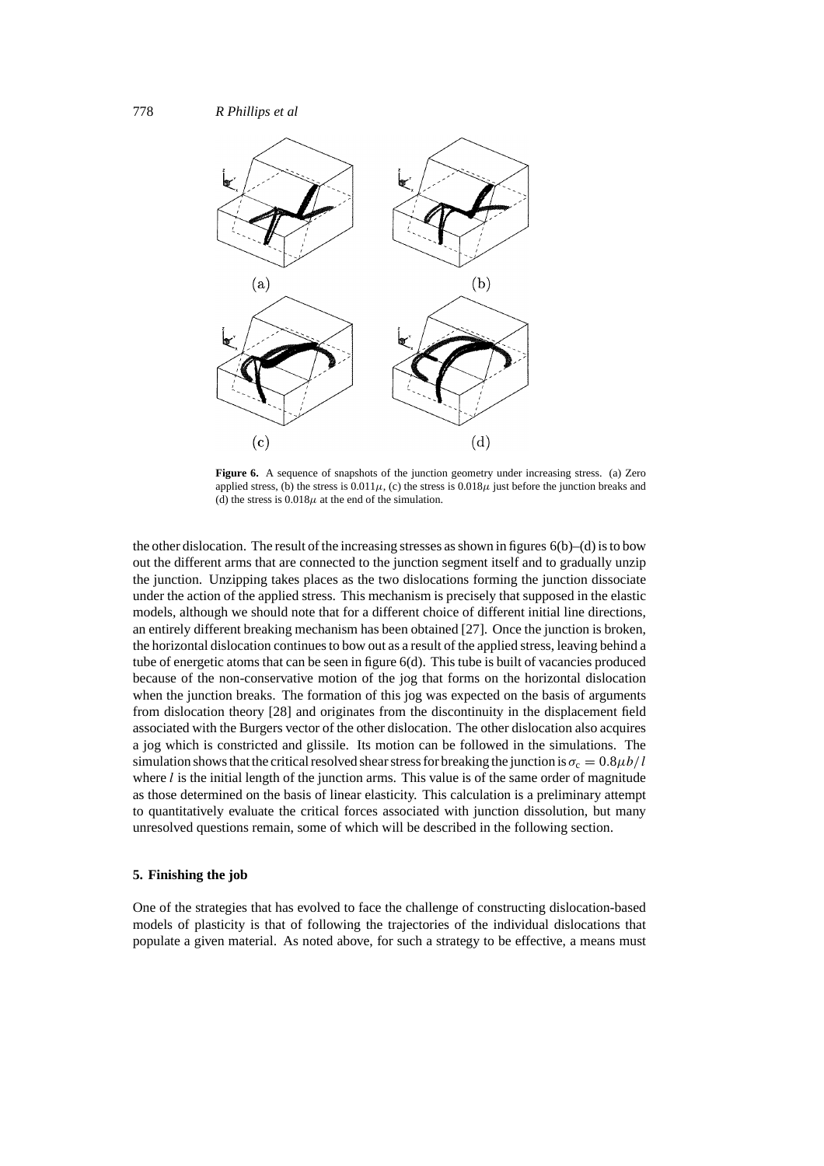

Figure 6. A sequence of snapshots of the junction geometry under increasing stress. (a) Zero applied stress, (b) the stress is  $0.011\mu$ , (c) the stress is  $0.018\mu$  just before the junction breaks and (d) the stress is  $0.018\mu$  at the end of the simulation.

the other dislocation. The result of the increasing stresses as shown in figures 6(b)–(d) is to bow out the different arms that are connected to the junction segment itself and to gradually unzip the junction. Unzipping takes places as the two dislocations forming the junction dissociate under the action of the applied stress. This mechanism is precisely that supposed in the elastic models, although we should note that for a different choice of different initial line directions, an entirely different breaking mechanism has been obtained [27]. Once the junction is broken, the horizontal dislocation continues to bow out as a result of the applied stress, leaving behind a tube of energetic atoms that can be seen in figure  $6(d)$ . This tube is built of vacancies produced because of the non-conservative motion of the jog that forms on the horizontal dislocation when the junction breaks. The formation of this jog was expected on the basis of arguments from dislocation theory [28] and originates from the discontinuity in the displacement field associated with the Burgers vector of the other dislocation. The other dislocation also acquires a jog which is constricted and glissile. Its motion can be followed in the simulations. The simulation shows that the critical resolved shear stress for breaking the junction is  $\sigma_c = 0.8 \mu b/l$ where *l* is the initial length of the junction arms. This value is of the same order of magnitude as those determined on the basis of linear elasticity. This calculation is a preliminary attempt to quantitatively evaluate the critical forces associated with junction dissolution, but many unresolved questions remain, some of which will be described in the following section.

# **5. Finishing the job**

One of the strategies that has evolved to face the challenge of constructing dislocation-based models of plasticity is that of following the trajectories of the individual dislocations that populate a given material. As noted above, for such a strategy to be effective, a means must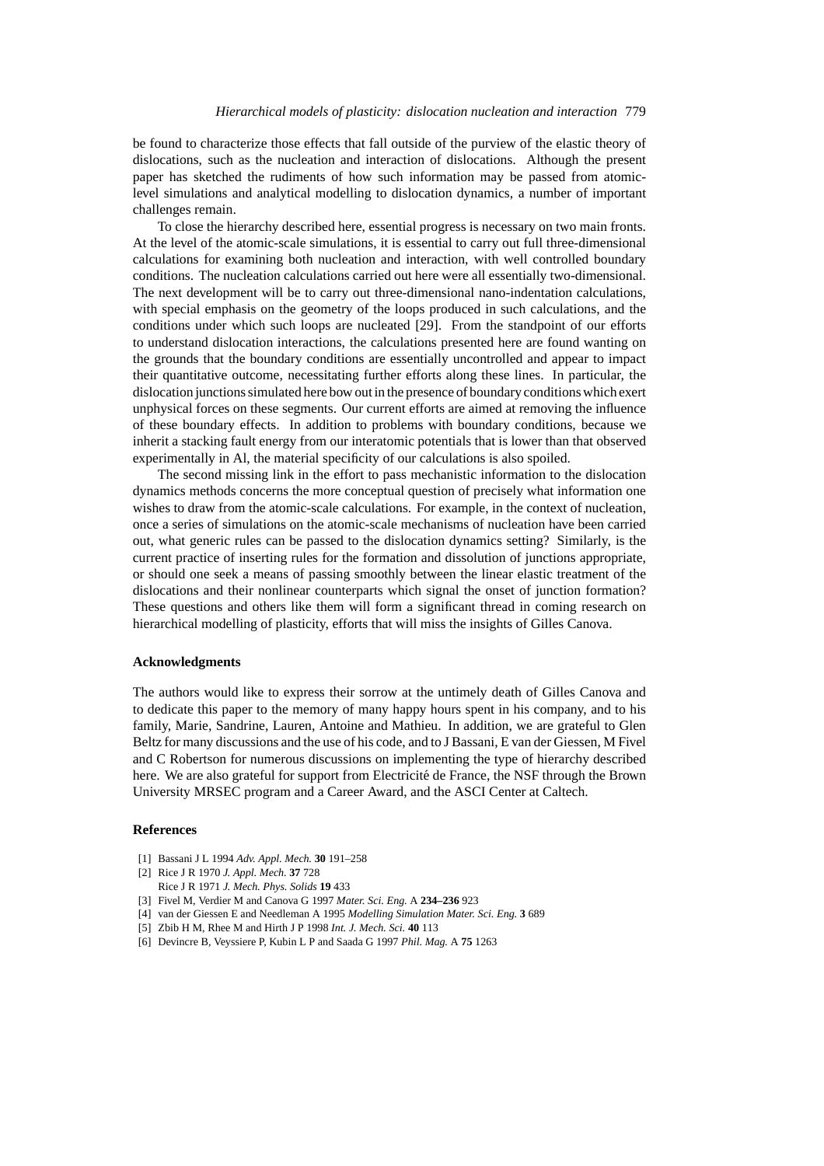## *Hierarchical models of plasticity: dislocation nucleation and interaction* 779

be found to characterize those effects that fall outside of the purview of the elastic theory of dislocations, such as the nucleation and interaction of dislocations. Although the present paper has sketched the rudiments of how such information may be passed from atomiclevel simulations and analytical modelling to dislocation dynamics, a number of important challenges remain.

To close the hierarchy described here, essential progress is necessary on two main fronts. At the level of the atomic-scale simulations, it is essential to carry out full three-dimensional calculations for examining both nucleation and interaction, with well controlled boundary conditions. The nucleation calculations carried out here were all essentially two-dimensional. The next development will be to carry out three-dimensional nano-indentation calculations, with special emphasis on the geometry of the loops produced in such calculations, and the conditions under which such loops are nucleated [29]. From the standpoint of our efforts to understand dislocation interactions, the calculations presented here are found wanting on the grounds that the boundary conditions are essentially uncontrolled and appear to impact their quantitative outcome, necessitating further efforts along these lines. In particular, the dislocation junctions simulated here bow out in the presence of boundary conditions which exert unphysical forces on these segments. Our current efforts are aimed at removing the influence of these boundary effects. In addition to problems with boundary conditions, because we inherit a stacking fault energy from our interatomic potentials that is lower than that observed experimentally in Al, the material specificity of our calculations is also spoiled.

The second missing link in the effort to pass mechanistic information to the dislocation dynamics methods concerns the more conceptual question of precisely what information one wishes to draw from the atomic-scale calculations. For example, in the context of nucleation, once a series of simulations on the atomic-scale mechanisms of nucleation have been carried out, what generic rules can be passed to the dislocation dynamics setting? Similarly, is the current practice of inserting rules for the formation and dissolution of junctions appropriate, or should one seek a means of passing smoothly between the linear elastic treatment of the dislocations and their nonlinear counterparts which signal the onset of junction formation? These questions and others like them will form a significant thread in coming research on hierarchical modelling of plasticity, efforts that will miss the insights of Gilles Canova.

## **Acknowledgments**

The authors would like to express their sorrow at the untimely death of Gilles Canova and to dedicate this paper to the memory of many happy hours spent in his company, and to his family, Marie, Sandrine, Lauren, Antoine and Mathieu. In addition, we are grateful to Glen Beltz for many discussions and the use of his code, and to J Bassani, E van der Giessen, M Fivel and C Robertson for numerous discussions on implementing the type of hierarchy described here. We are also grateful for support from Electricité de France, the NSF through the Brown University MRSEC program and a Career Award, and the ASCI Center at Caltech.

## **References**

- [1] Bassani J L 1994 *Adv. Appl. Mech.* **30** 191–258
- [2] Rice J R 1970 *J. Appl. Mech.* **37** 728 Rice J R 1971 *J. Mech. Phys. Solids* **19** 433
- [3] Fivel M, Verdier M and Canova G 1997 *Mater. Sci. Eng.* A **234–236** 923
- [4] van der Giessen E and Needleman A 1995 *Modelling Simulation Mater. Sci. Eng.* **3** 689
- [5] Zbib H M, Rhee M and Hirth J P 1998 *Int. J. Mech. Sci.* **40** 113
- [6] Devincre B, Veyssiere P, Kubin L P and Saada G 1997 *Phil. Mag.* A **75** 1263